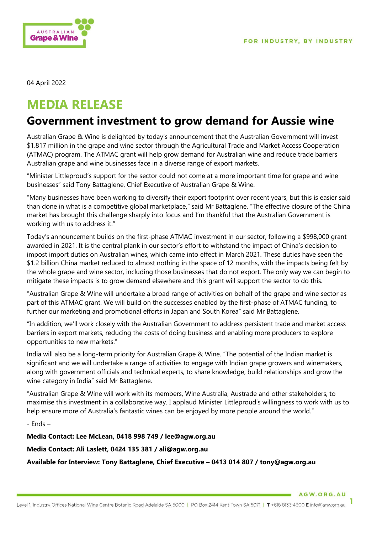

04 April 2022

## **MEDIA RELEASE**

## **Government investment to grow demand for Aussie wine**

Australian Grape & Wine is delighted by today's announcement that the Australian Government will invest \$1.817 million in the grape and wine sector through the Agricultural Trade and Market Access Cooperation (ATMAC) program. The ATMAC grant will help grow demand for Australian wine and reduce trade barriers Australian grape and wine businesses face in a diverse range of export markets.

"Minister Littleproud's support for the sector could not come at a more important time for grape and wine businesses" said Tony Battaglene, Chief Executive of Australian Grape & Wine.

"Many businesses have been working to diversify their export footprint over recent years, but this is easier said than done in what is a competitive global marketplace," said Mr Battaglene. "The effective closure of the China market has brought this challenge sharply into focus and I'm thankful that the Australian Government is working with us to address it."

Today's announcement builds on the first-phase ATMAC investment in our sector, following a \$998,000 grant awarded in 2021. It is the central plank in our sector's effort to withstand the impact of China's decision to impost import duties on Australian wines, which came into effect in March 2021. These duties have seen the \$1.2 billion China market reduced to almost nothing in the space of 12 months, with the impacts being felt by the whole grape and wine sector, including those businesses that do not export. The only way we can begin to mitigate these impacts is to grow demand elsewhere and this grant will support the sector to do this.

"Australian Grape & Wine will undertake a broad range of activities on behalf of the grape and wine sector as part of this ATMAC grant. We will build on the successes enabled by the first-phase of ATMAC funding, to further our marketing and promotional efforts in Japan and South Korea" said Mr Battaglene.

"In addition, we'll work closely with the Australian Government to address persistent trade and market access barriers in export markets, reducing the costs of doing business and enabling more producers to explore opportunities to new markets."

India will also be a long-term priority for Australian Grape & Wine. "The potential of the Indian market is significant and we will undertake a range of activities to engage with Indian grape growers and winemakers, along with government officials and technical experts, to share knowledge, build relationships and grow the wine category in India" said Mr Battaglene.

"Australian Grape & Wine will work with its members, Wine Australia, Austrade and other stakeholders, to maximise this investment in a collaborative way. I applaud Minister Littleproud's willingness to work with us to help ensure more of Australia's fantastic wines can be enjoyed by more people around the world."

- Ends –

**Media Contact: Lee McLean, 0418 998 749 / lee@agw.org.au**

**Media Contact: Ali Laslett, 0424 135 381 / ali@agw.org.au**

**Available for Interview: Tony Battaglene, Chief Executive – 0413 014 807 / tony@agw.org.au**

AGW.ORG.AU